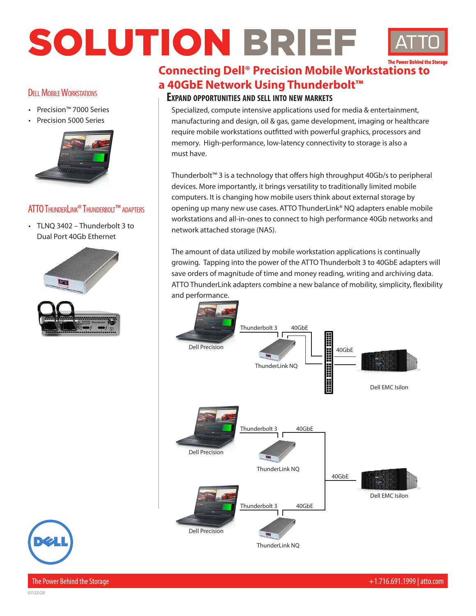# SOLUTION BRIEF



#### **DELL MOBILE WORKSTATIONS**

- Precision™ 7000 Series
- Precision 5000 Series



## **ATTO THUNDERLINK<sup>®</sup> THUNDERBOLT™ ADAPTERS**

• TLNQ 3402 – Thunderbolt 3 to Dual Port 40Gb Ethernet





# **Connecting Dell® Precision Mobile Workstations to a 40GbE Network Using Thunderbolt™**

### **Expand opportunities and sell into new markets**

Specialized, compute intensive applications used for media & entertainment, manufacturing and design, oil & gas, game development, imaging or healthcare require mobile workstations outfitted with powerful graphics, processors and memory. High-performance, low-latency connectivity to storage is also a must have.

Thunderbolt™ 3 is a technology that offers high throughput 40Gb/s to peripheral devices. More importantly, it brings versatility to traditionally limited mobile computers. It is changing how mobile users think about external storage by opening up many new use cases. ATTO ThunderLink® NQ adapters enable mobile workstations and all-in-ones to connect to high performance 40Gb networks and network attached storage (NAS).

The amount of data utilized by mobile workstation applications is continually growing. Tapping into the power of the ATTO Thunderbolt 3 to 40GbE adapters will save orders of magnitude of time and money reading, writing and archiving data. ATTO ThunderLink adapters combine a new balance of mobility, simplicity, flexibility and performance.